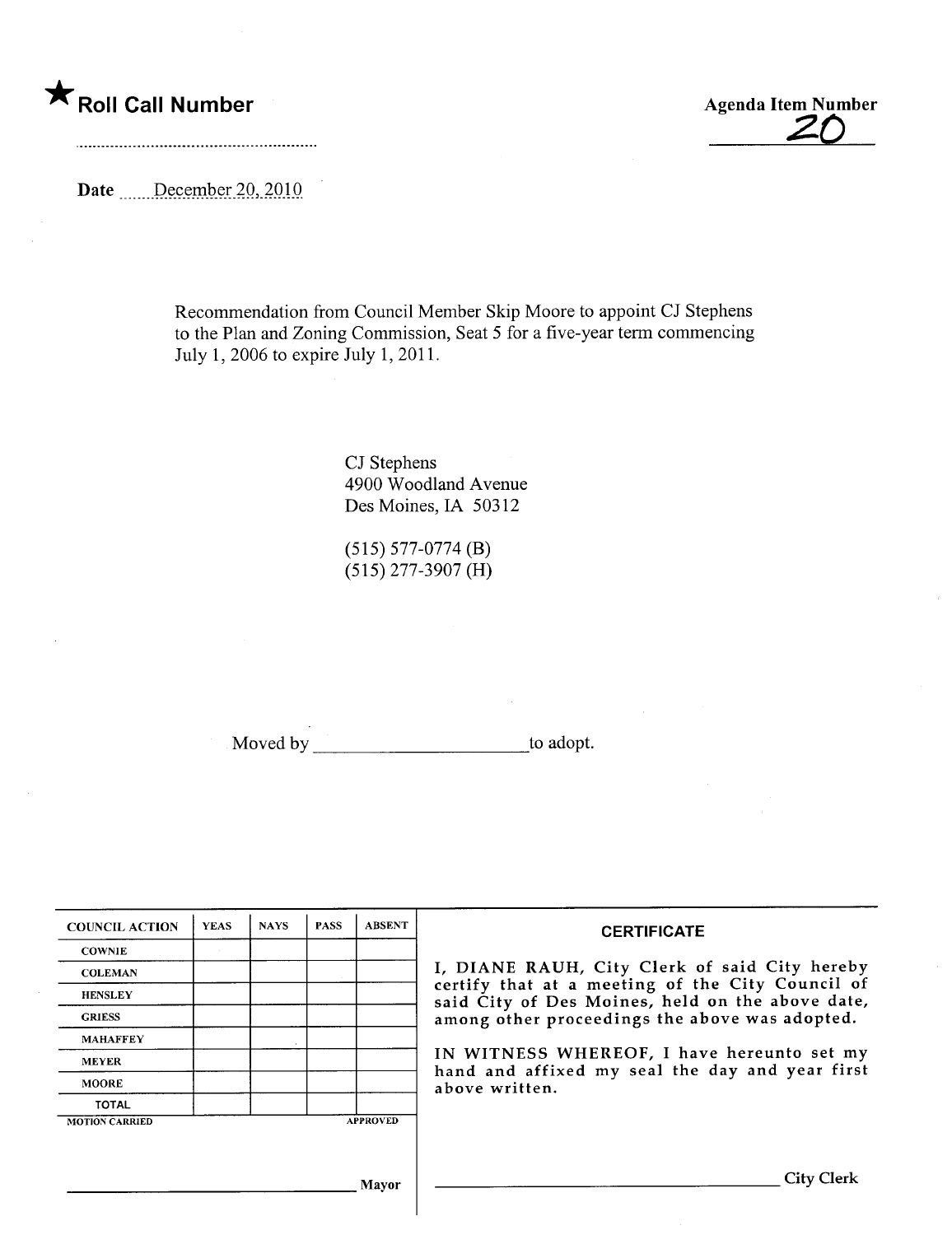\* Roll Call Number Agenda Item Number Agenda Item Number

Date ......December 20, 2010

Recommendation from Council Member Skip Moore to appoint CJ Stephens to the Plan and Zoning Commission, Seat 5 for a five-year term commencing July 1, 2006 to expire July 1,2011.

> CJ Stephens 4900 W oodland Avenue Des Moines, IA 50312

(515) 577-0774 (B) (515) 277-3907 (H)

Moved by to adopt.

| <b>COUNCIL ACTION</b> | <b>YEAS</b> | <b>NAYS</b> | <b>PASS</b> | <b>ABSENT</b>   | <b>CERTIFICATE</b><br>I, DIANE RAUH, City Clerk of said City hereby<br>certify that at a meeting of the City Council of<br>said City of Des Moines, held on the above date,<br>among other proceedings the above was adopted.<br>IN WITNESS WHEREOF, I have hereunto set my<br>hand and affixed my seal the day and year first<br>above written. |
|-----------------------|-------------|-------------|-------------|-----------------|--------------------------------------------------------------------------------------------------------------------------------------------------------------------------------------------------------------------------------------------------------------------------------------------------------------------------------------------------|
| <b>COWNIE</b>         |             |             |             |                 |                                                                                                                                                                                                                                                                                                                                                  |
| <b>COLEMAN</b>        |             |             |             |                 |                                                                                                                                                                                                                                                                                                                                                  |
| <b>HENSLEY</b>        |             |             |             |                 |                                                                                                                                                                                                                                                                                                                                                  |
| <b>GRIESS</b>         |             |             |             |                 |                                                                                                                                                                                                                                                                                                                                                  |
| <b>MAHAFFEY</b>       |             |             |             |                 |                                                                                                                                                                                                                                                                                                                                                  |
| <b>MEYER</b>          |             |             |             |                 |                                                                                                                                                                                                                                                                                                                                                  |
| <b>MOORE</b>          |             |             |             |                 |                                                                                                                                                                                                                                                                                                                                                  |
| <b>TOTAL</b>          |             |             |             |                 |                                                                                                                                                                                                                                                                                                                                                  |
| <b>MOTION CARRIED</b> |             |             |             | <b>APPROVED</b> |                                                                                                                                                                                                                                                                                                                                                  |
|                       |             |             |             |                 |                                                                                                                                                                                                                                                                                                                                                  |
|                       |             |             |             |                 | <b>City Clerk</b>                                                                                                                                                                                                                                                                                                                                |
| Mavor                 |             |             |             |                 |                                                                                                                                                                                                                                                                                                                                                  |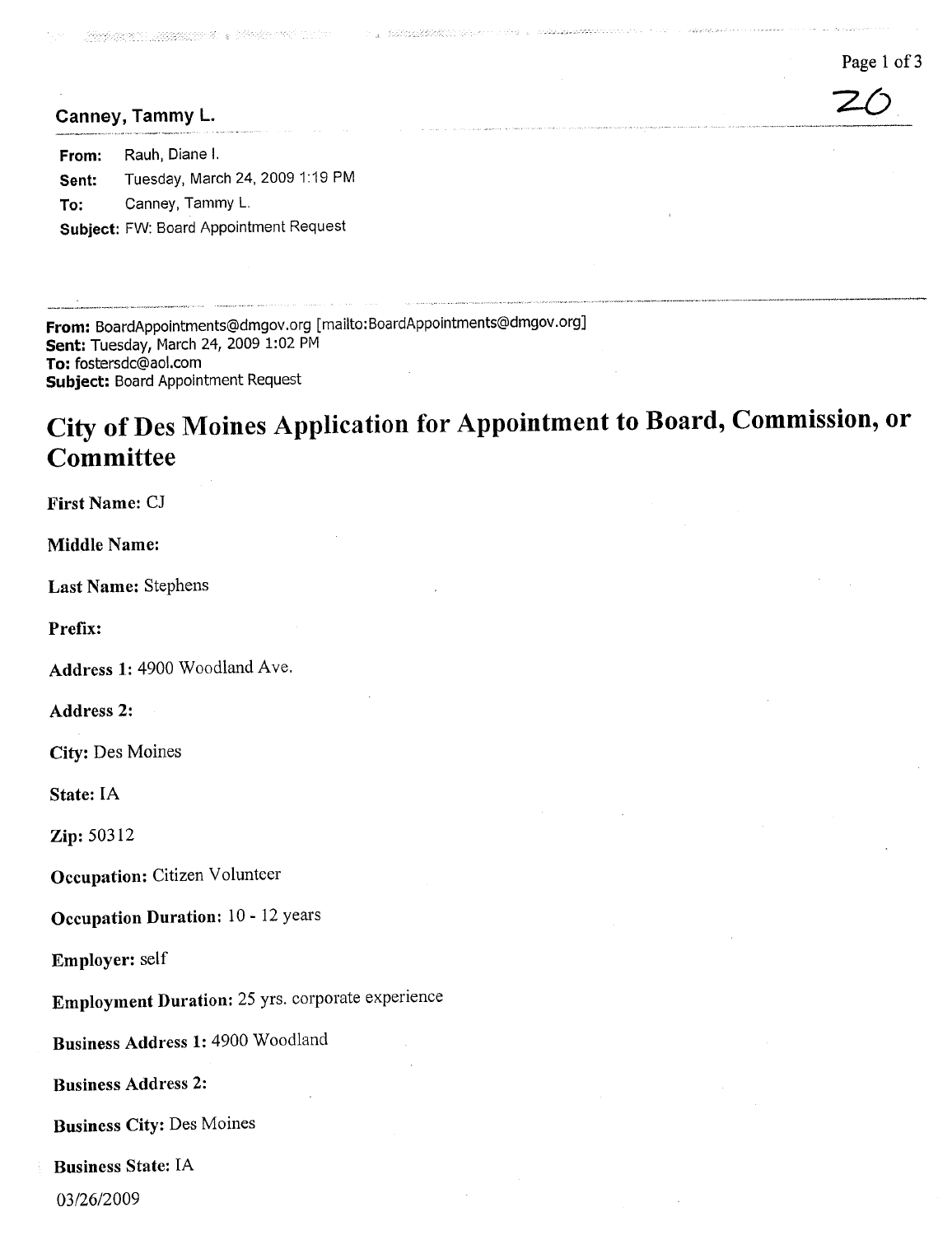Page 1 of 3

..,,...\_\_\_,,...\_\_.\_.,~\_\_,~c.....\_.".~,,\_......~\_..v"\_~"~'\_,""~~'\_\_\_\_\_N\_'\_"\_\_'''\_\_~"\_'\_''\_\_\_\_''''''

# $\overline{20}$ <br>Canney, Tammy L.

From: Rauh, Diane i. Sent: Tuesday, March 24, 2009 1:19 PM To: Canney, Tammy L. Subject: FW: Board Appointment Request

From: BoardAppointments@dmgov.org [mailto: BoardAppointments@dmgov.org] Sent: Tuesday, March 24, 2009 1:02 PM To: fostersdc@aol.com Subject: Board Appointment Request

## City of Des Moines Application for Appointment to Board, Commission, or Committee

The Constitution of Board Co.

First Name: CJ

Middle Name:

Last Name: Stephens

Prefix:

Address 1: 4900 Woodland Ave.

Address 2:

City: Des Moines

State: IA

Zip: 50312

Occupation: Citizen Volunteer

Occupation Duration: 10 - 12 years

Employer: self

Employment Duration: 25 yrs. corporate experience

Business Address 1: 4900 Woodland

Business Address 2:

Business City: Des Moines

Business State: IA

03/26/2009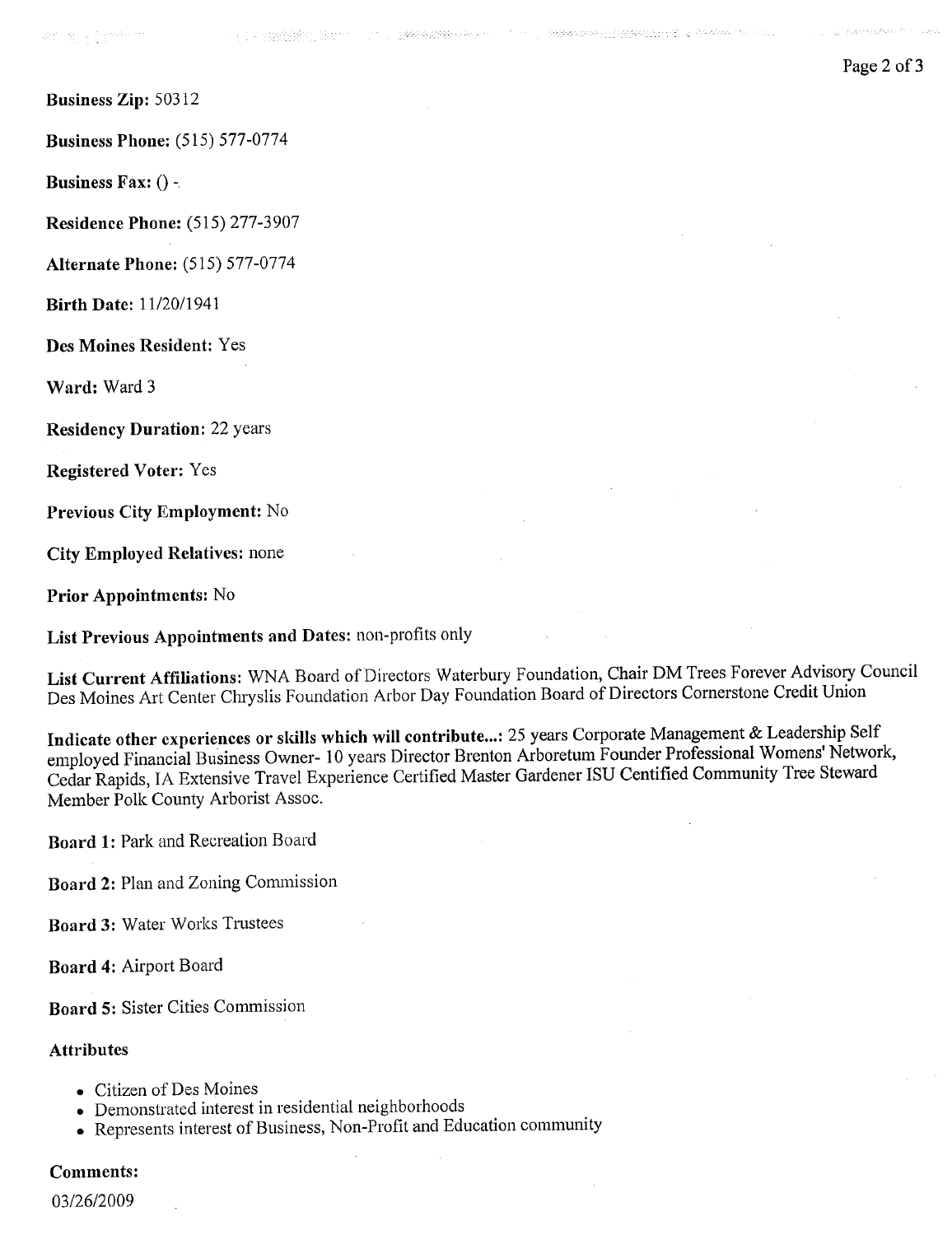**COMPANY COMPANY** COMPANY COMPANY

Business Zip: 50312

Business Phone; (515) 577-0774

Business Fax: () -

Residence Phone: (515) 277-3907

Alternate Phone: (515) 577-0774

Birth Date: 11/20/1941

Des Moines Resident: Yes

Ward; Ward 3

Residency Duration: 22 years

Registered Voter: Yes

Previous City Employment: No

City Employed Relatives: none

Prior Appointmcnts: No

List Previous Appointments and Dates: non-profits only

List Current Affiliations: WNA Board of Directors Waterbury Foundation, Chair DM Trees Forever Advisory Council Des Moines Art Center Chryslis Foundation Arbor Day Foundation Board of Directors Cornerstone Credit Union

Indicate other expcrienccs or skils which wil contribute...: 25 years Corporate Management & Leadership Self employed Financial Business Owner- 10 years Director Brenton Arboretum Founder Professional Womens' Network, Cedar Rapids, IA Extensive Travel Experience Certified Master Gardener ISU Centified Community Tree Steward Member Polk County Arborist Assoc.

Board 1: Park and Recreation Board

Board 2: Plan and Zoning Commission

Board 3: Water Works Trustees

Board 4: Airport Board

Board 5: Sister Cities Commission

#### Attributes

- . Citizen of Des Moines
- . Demonstrated interest in residential neighborhoods
- . Represents interest of Business, Non-Profit and Education community

#### Comments:

03/26/2009